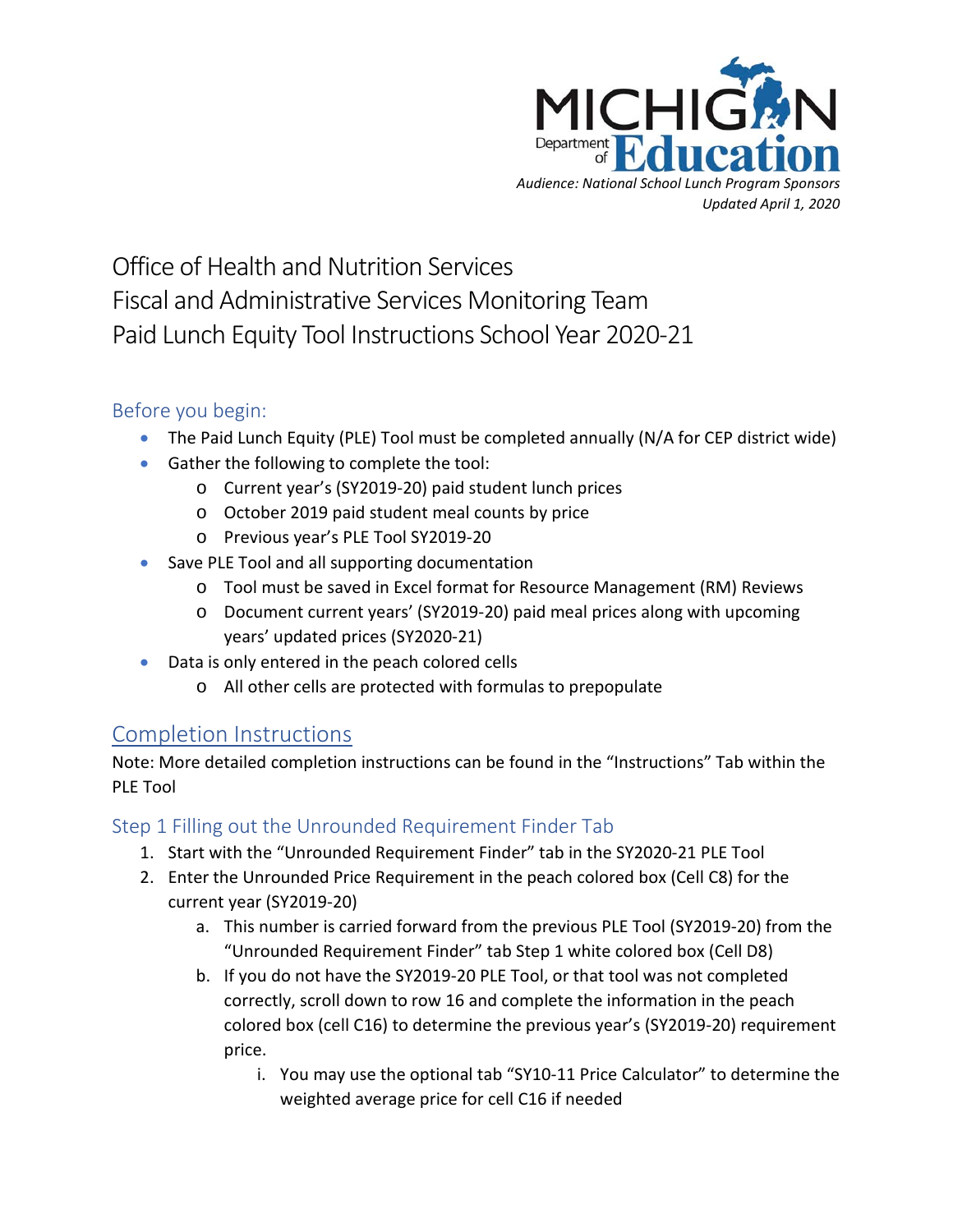

# Office of Health and Nutrition Services Fiscal and Administrative Services Monitoring Team Paid Lunch Equity Tool Instructions School Year 2020-21

### Before you begin:

- The Paid Lunch Equity (PLE) Tool must be completed annually (N/A for CEP district wide)
- Gather the following to complete the tool:
	- o Current year's (SY2019-20) paid student lunch prices
	- o October 2019 paid student meal counts by price
	- o Previous year's PLE Tool SY2019-20
- Save PLE Tool and all supporting documentation
	- o Tool must be saved in Excel format for Resource Management (RM) Reviews
	- o Document current years' (SY2019-20) paid meal prices along with upcoming years' updated prices (SY2020-21)
- Data is only entered in the peach colored cells
	- o All other cells are protected with formulas to prepopulate

# Completion Instructions

Note: More detailed completion instructions can be found in the "Instructions" Tab within the PLE Tool

# Step 1 Filling out the Unrounded Requirement Finder Tab

- 1. Start with the "Unrounded Requirement Finder" tab in the SY2020-21 PLE Tool
- 2. Enter the Unrounded Price Requirement in the peach colored box (Cell C8) for the current year (SY2019-20)
	- a. This number is carried forward from the previous PLE Tool (SY2019-20) from the "Unrounded Requirement Finder" tab Step 1 white colored box (Cell D8)
	- b. If you do not have the SY2019-20 PLE Tool, or that tool was not completed correctly, scroll down to row 16 and complete the information in the peach colored box (cell C16) to determine the previous year's (SY2019-20) requirement price.
		- i. You may use the optional tab "SY10-11 Price Calculator" to determine the weighted average price for cell C16 if needed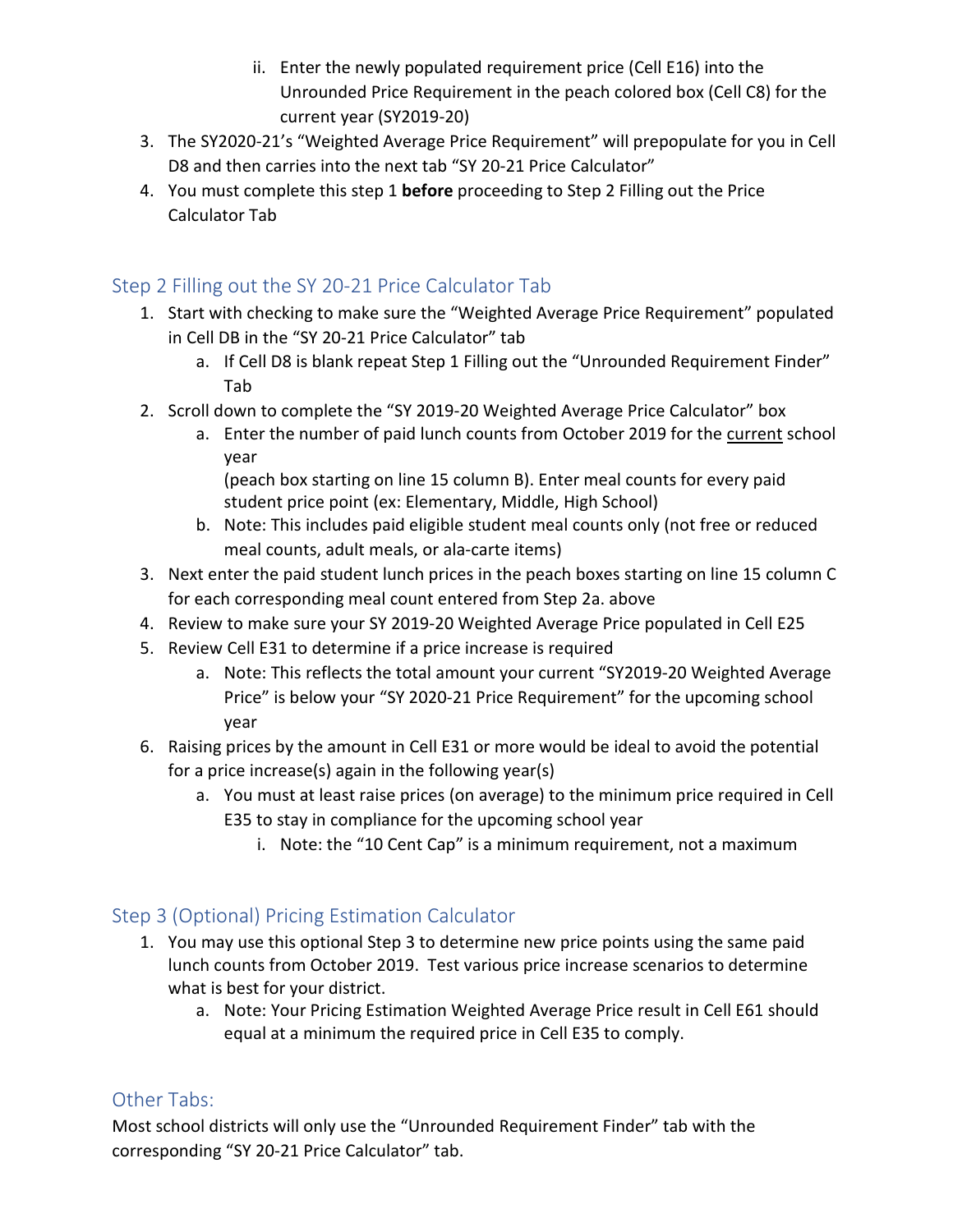- ii. Enter the newly populated requirement price (Cell E16) into the Unrounded Price Requirement in the peach colored box (Cell C8) for the current year (SY2019-20)
- 3. The SY2020-21's "Weighted Average Price Requirement" will prepopulate for you in Cell D8 and then carries into the next tab "SY 20-21 Price Calculator"
- 4. You must complete this step 1 **before** proceeding to Step 2 Filling out the Price Calculator Tab

## Step 2 Filling out the SY 20-21 Price Calculator Tab

- 1. Start with checking to make sure the "Weighted Average Price Requirement" populated in Cell DB in the "SY 20-21 Price Calculator" tab
	- a. If Cell D8 is blank repeat Step 1 Filling out the "Unrounded Requirement Finder" Tab
- 2. Scroll down to complete the "SY 2019-20 Weighted Average Price Calculator" box
	- a. Enter the number of paid lunch counts from October 2019 for the current school year

(peach box starting on line 15 column B). Enter meal counts for every paid student price point (ex: Elementary, Middle, High School)

- b. Note: This includes paid eligible student meal counts only (not free or reduced meal counts, adult meals, or ala-carte items)
- 3. Next enter the paid student lunch prices in the peach boxes starting on line 15 column C for each corresponding meal count entered from Step 2a. above
- 4. Review to make sure your SY 2019-20 Weighted Average Price populated in Cell E25
- 5. Review Cell E31 to determine if a price increase is required
	- a. Note: This reflects the total amount your current "SY2019-20 Weighted Average Price" is below your "SY 2020-21 Price Requirement" for the upcoming school year
- 6. Raising prices by the amount in Cell E31 or more would be ideal to avoid the potential for a price increase(s) again in the following year(s)
	- a. You must at least raise prices (on average) to the minimum price required in Cell E35 to stay in compliance for the upcoming school year
		- i. Note: the "10 Cent Cap" is a minimum requirement, not a maximum

# Step 3 (Optional) Pricing Estimation Calculator

- 1. You may use this optional Step 3 to determine new price points using the same paid lunch counts from October 2019. Test various price increase scenarios to determine what is best for your district.
	- a. Note: Your Pricing Estimation Weighted Average Price result in Cell E61 should equal at a minimum the required price in Cell E35 to comply.

### Other Tabs:

Most school districts will only use the "Unrounded Requirement Finder" tab with the corresponding "SY 20-21 Price Calculator" tab.